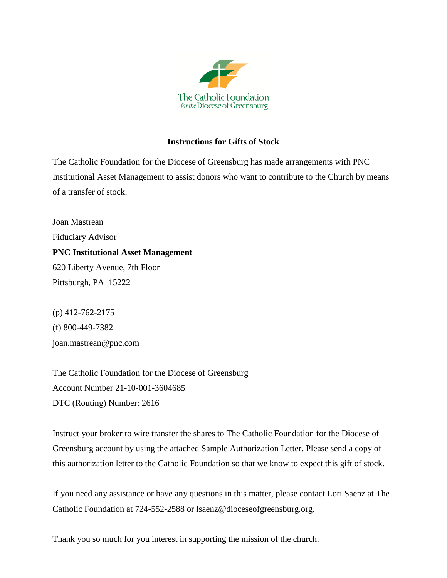

### **Instructions for Gifts of Stock**

The Catholic Foundation for the Diocese of Greensburg has made arrangements with PNC Institutional Asset Management to assist donors who want to contribute to the Church by means of a transfer of stock.

Joan Mastrean Fiduciary Advisor **PNC Institutional Asset Management**  620 Liberty Avenue, 7th Floor Pittsburgh, PA 15222

(p) 412-762-2175 (f) 800-449-7382 [joan.mastrean@pnc.com](mailto:joan.mastrean@pnc.com)

The Catholic Foundation for the Diocese of Greensburg Account Number 21-10-001-3604685 DTC (Routing) Number: 2616

Instruct your broker to wire transfer the shares to The Catholic Foundation for the Diocese of Greensburg account by using the attached Sample Authorization Letter. Please send a copy of this authorization letter to the Catholic Foundation so that we know to expect this gift of stock.

If you need any assistance or have any questions in this matter, please contact Lori Saenz at The Catholic Foundation at 724-552-2588 or lsaenz@dioceseofgreensburg.org.

Thank you so much for you interest in supporting the mission of the church.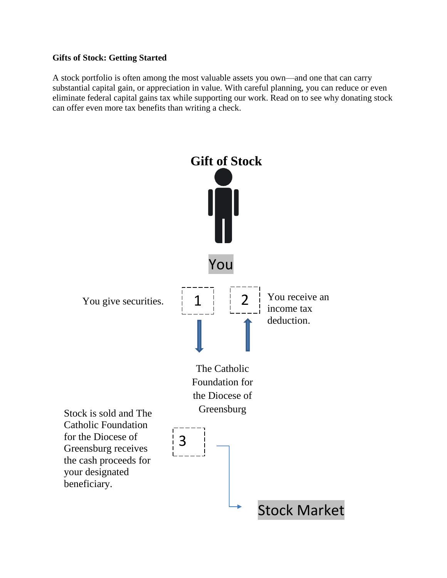#### **Gifts of Stock: Getting Started**

A stock portfolio is often among the most valuable assets you own—and one that can carry substantial capital gain, or appreciation in value. With careful planning, you can reduce or even eliminate federal capital gains tax while supporting our work. Read on to see why donating stock can offer even more tax benefits than writing a check.

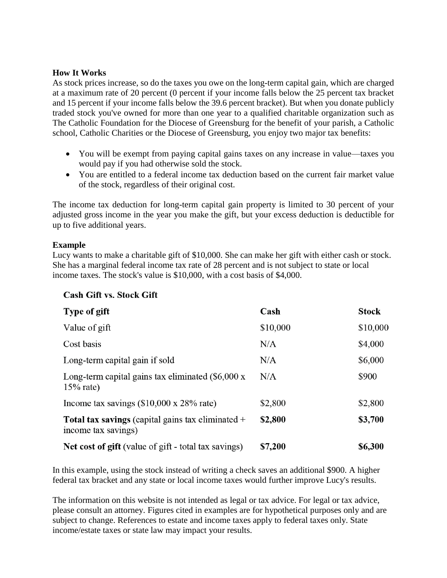### **How It Works**

As stock prices increase, so do the taxes you owe on the long-term capital gain, which are charged at a maximum rate of 20 percent (0 percent if your income falls below the 25 percent tax bracket and 15 percent if your income falls below the 39.6 percent bracket). But when you donate publicly traded stock you've owned for more than one year to a qualified charitable organization such as The Catholic Foundation for the Diocese of Greensburg for the benefit of your parish, a Catholic school, Catholic Charities or the Diocese of Greensburg, you enjoy two major tax benefits:

- You will be exempt from paying capital gains taxes on any increase in value—taxes you would pay if you had otherwise sold the stock.
- You are entitled to a federal income tax deduction based on the current fair market value of the stock, regardless of their original cost.

The income tax deduction for long-term capital gain property is limited to 30 percent of your adjusted gross income in the year you make the gift, but your excess deduction is deductible for up to five additional years.

#### **Example**

**Cash Gift vs. Stock Gift** 

Lucy wants to make a charitable gift of \$10,000. She can make her gift with either cash or stock. She has a marginal federal income tax rate of 28 percent and is not subject to state or local income taxes. The stock's value is \$10,000, with a cost basis of \$4,000.

| Type of gift                                                                    | Cash     | <b>Stock</b> |
|---------------------------------------------------------------------------------|----------|--------------|
| Value of gift                                                                   | \$10,000 | \$10,000     |
| Cost basis                                                                      | N/A      | \$4,000      |
| Long-term capital gain if sold                                                  | N/A      | \$6,000      |
| Long-term capital gains tax eliminated $(\$6,000 \times$<br>$15\%$ rate)        | N/A      | \$900        |
| Income tax savings $(\$10,000 \times 28\%$ rate)                                | \$2,800  | \$2,800      |
| <b>Total tax savings (capital gains tax eliminated +</b><br>income tax savings) | \$2,800  | \$3,700      |
| Net cost of gift (value of gift - total tax savings)                            | \$7,200  | \$6,300      |

# In this example, using the stock instead of writing a check saves an additional \$900. A higher federal tax bracket and any state or local income taxes would further improve Lucy's results.

The information on this website is not intended as legal or tax advice. For legal or tax advice, please consult an attorney. Figures cited in examples are for hypothetical purposes only and are subject to change. References to estate and income taxes apply to federal taxes only. State income/estate taxes or state law may impact your results.